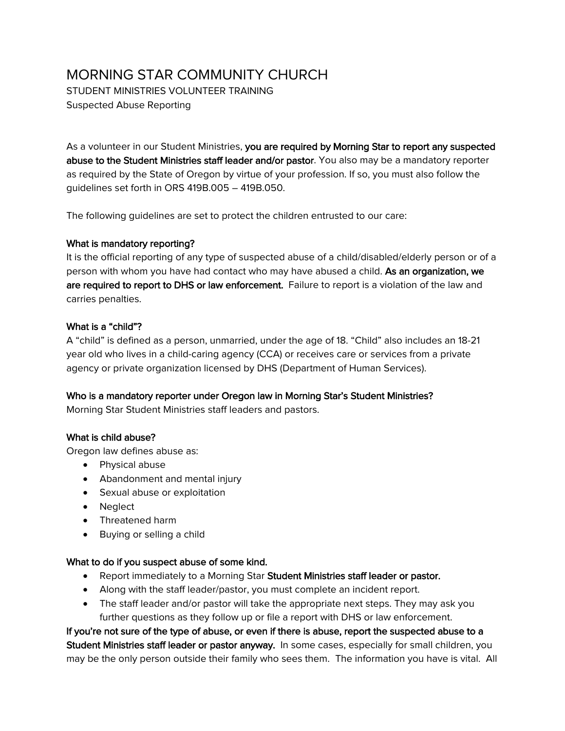# MORNING STAR COMMUNITY CHURCH

STUDENT MINISTRIES VOLUNTEER TRAINING Suspected Abuse Reporting

As a volunteer in our Student Ministries, you are required by Morning Star to report any suspected abuse to the Student Ministries staff leader and/or pastor. You also may be a mandatory reporter as required by the State of Oregon by virtue of your profession. If so, you must also follow the guidelines set forth in ORS 419B.005 – 419B.050.

The following guidelines are set to protect the children entrusted to our care:

## What is mandatory reporting?

It is the official reporting of any type of suspected abuse of a child/disabled/elderly person or of a person with whom you have had contact who may have abused a child. As an organization, we are required to report to DHS or law enforcement. Failure to report is a violation of the law and carries penalties.

## What is a "child"?

A "child" is defined as a person, unmarried, under the age of 18. "Child" also includes an 18-21 year old who lives in a child-caring agency (CCA) or receives care or services from a private agency or private organization licensed by DHS (Department of Human Services).

# Who is a mandatory reporter under Oregon law in Morning Star's Student Ministries?

Morning Star Student Ministries staff leaders and pastors.

# What is child abuse?

Oregon law defines abuse as:

- Physical abuse
- Abandonment and mental injury
- Sexual abuse or exploitation
- Neglect
- Threatened harm
- Buying or selling a child

#### What to do if you suspect abuse of some kind.

- Report immediately to a Morning Star Student Ministries staff leader or pastor.
- Along with the staff leader/pastor, you must complete an incident report.
- The staff leader and/or pastor will take the appropriate next steps. They may ask you further questions as they follow up or file a report with DHS or law enforcement.

If you're not sure of the type of abuse, or even if there is abuse, report the suspected abuse to a Student Ministries staff leader or pastor anyway. In some cases, especially for small children, you may be the only person outside their family who sees them. The information you have is vital. All